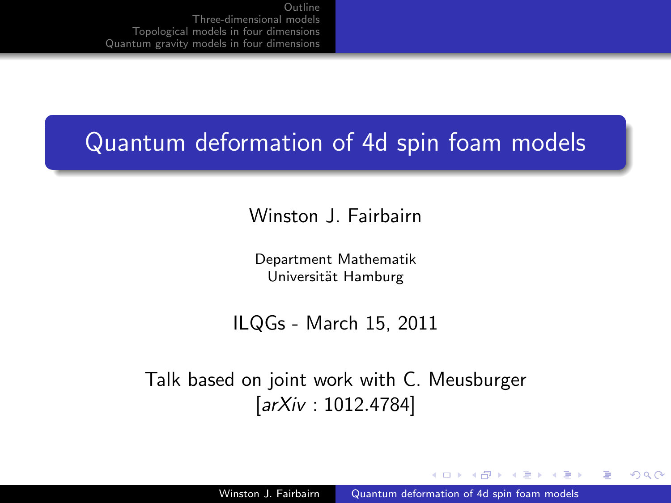#### Quantum deformation of 4d spin foam models

Winston | Fairbairn

Department Mathematik Universität Hamburg

ILQGs - March 15, 2011

Talk based on joint work with C. Meusburger [arXiv : 1012.4784]

4 17 18

 $\mathcal{A}$  and  $\mathcal{A}$  in the set of  $\mathcal{B}$ 

<span id="page-0-0"></span>つへへ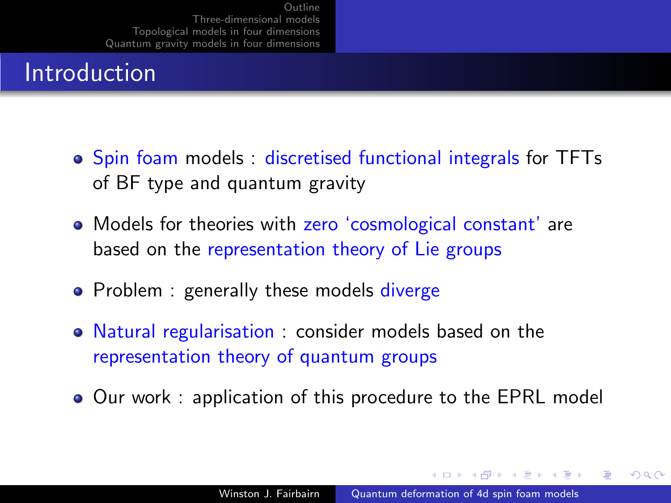#### Introduction

- **•** Spin foam models : discretised functional integrals for TFTs of BF type and quantum gravity
- Models for theories with zero 'cosmological constant' are based on the representation theory of Lie groups
- Problem : generally these models diverge
- Natural regularisation : consider models based on the representation theory of quantum groups
- Our work : application of this procedure to the EPRL model

 $\mathcal{A}$  and  $\mathcal{A}$  in the set of  $\mathbb{R}$  is a set of  $\mathbb{R}$  is a set of  $\mathbb{R}$  is

つくへ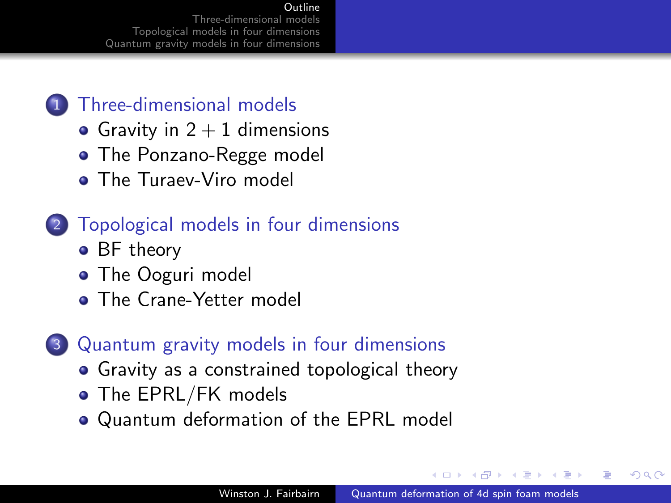#### [Outline](#page-2-0)

nree-dimensional models [Topological models in four dimensions](#page-7-0) [Quantum gravity models in four dimensions](#page-10-0)

#### 1 [Three-dimensional models](#page-3-0)

- Gravity in  $2 + 1$  dimensions
- [The Ponzano-Regge model](#page-4-0)
- **[The Turaev-Viro model](#page-5-0)**

#### 2 [Topological models in four dimensions](#page-7-0)

- [BF theory](#page-7-0)
- [The Ooguri model](#page-8-0)
- **[The Crane-Yetter model](#page-9-0)**

#### 3 [Quantum gravity models in four dimensions](#page-10-0)

- [Gravity as a constrained topological theory](#page-10-0)
- [The EPRL/FK models](#page-11-0)
- [Quantum deformation of the EPRL model](#page-12-0)

<span id="page-2-0"></span>つくへ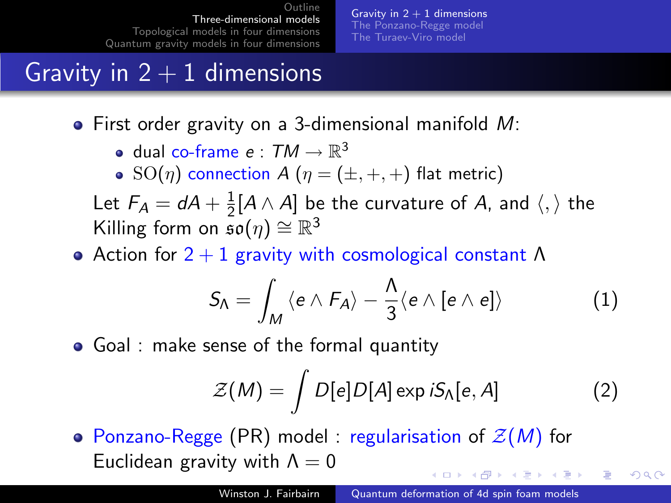Gravity in  $2 + 1$  dimensions [The Ponzano-Regge model](#page-4-0) [The Turaev-Viro model](#page-5-0)

#### Gravity in  $2 + 1$  dimensions

- First order gravity on a 3-dimensional manifold M:
	- dual co-frame  $e:TM\to\mathbb{R}^3$
	- $\text{SO}(\eta)$  connection  $A(\eta = (\pm, +, +))$  flat metric)

Let  $F_A = dA + \frac{1}{2}$  $\frac{1}{2}[A\wedge A]$  be the curvature of  $A$ , and  $\langle,\rangle$  the Killing form on  $\mathfrak{so}(\eta) \cong \mathbb{R}^3$ 

• Action for  $2 + 1$  gravity with cosmological constant  $\Lambda$ 

$$
S_{\Lambda} = \int_M \langle e \wedge F_A \rangle - \frac{\Lambda}{3} \langle e \wedge [e \wedge e] \rangle \qquad (1)
$$

Goal : make sense of the formal quantity

$$
\mathcal{Z}(M) = \int D[e]D[A] \exp iS_{\Lambda}[e, A]
$$
 (2)

<span id="page-3-0"></span>つくへ

• Ponzano-Regge (PR) model : regularisation of  $\mathcal{Z}(M)$  for Euclidean gravity with  $\Lambda = 0$ メロメ メ母メ メミメ メミメ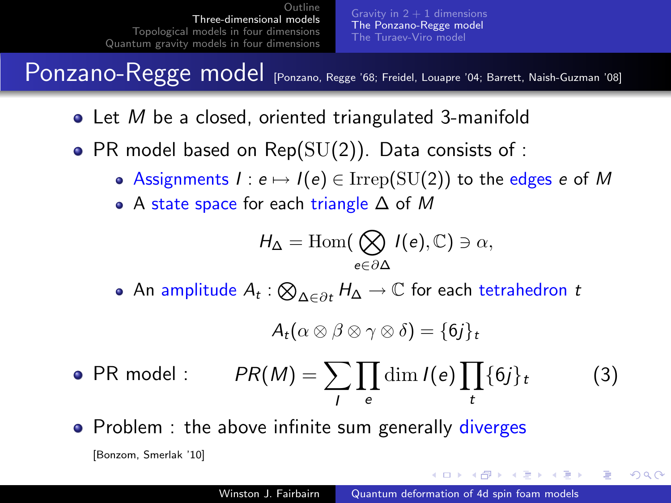Gravity in  $2 + 1$  dimensions [The Ponzano-Regge model](#page-4-0) [The Turaev-Viro model](#page-5-0)

Ponzano-Regge model [Ponzano, Regge '68; Freidel, Louapre '04; Barrett, Naish-Guzman '08]

- $\bullet$  Let M be a closed, oriented triangulated 3-manifold
- PR model based on  $Rep(SU(2))$ . Data consists of :
	- Assignments  $I : e \mapsto I(e) \in \text{Irrep}(\text{SU}(2))$  to the edges e of M
	- A state space for each triangle ∆ of M

$$
H_{\Delta} = \text{Hom}(\bigotimes_{e \in \partial \Delta} I(e), \mathbb{C}) \ni \alpha,
$$

An amplitude  $A_t: \bigotimes_{\Delta \in \partial t} H_{\Delta} \to \mathbb{C}$  for each tetrahedron  $t$ 

$$
A_t(\alpha\otimes\beta\otimes\gamma\otimes\delta)=\{6j\}_t
$$

- PR model :  $PR(M) = \sum \prod \dim I(e) \prod {\{6j\}}_t$  (3) I e t
- Problem : the above infinite sum generally diverges

[Bonzom, Smerlak '10]

<span id="page-4-0"></span>イロメ イ押メ イヨメ イヨメー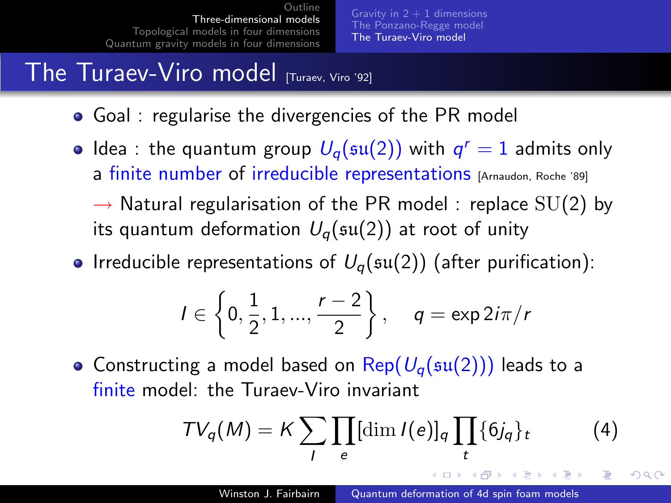Gravity in  $2 + 1$  dimensions [The Ponzano-Regge model](#page-4-0) [The Turaev-Viro model](#page-5-0)

# The Turaev-Viro model  $T_{\text{Linear, Viro}}$  (921

- Goal : regularise the divergencies of the PR model
- Idea : the quantum group  $U_q(\mathfrak{su}(2))$  with  $q^r=1$  admits only a finite number of irreducible representations [Arnaudon, Roche '89]
	- $\rightarrow$  Natural regularisation of the PR model : replace SU(2) by its quantum deformation  $U_q(\mathfrak{su}(2))$  at root of unity
- Irreducible representations of  $U_q(\mathfrak{su}(2))$  (after purification):

$$
I \in \left\{0, \frac{1}{2}, 1, ..., \frac{r-2}{2}\right\}, \quad q = \exp 2i\pi/r
$$

• Constructing a model based on  $\text{Rep}(U_{q}(\mathfrak{su}(2)))$  leads to a finite model: the Turaev-Viro invariant

<span id="page-5-0"></span>
$$
TV_q(M) = K \sum_{l} \prod_{e} [\dim l(e)]_q \prod_{t} \{6j_q\}_t \qquad (4)
$$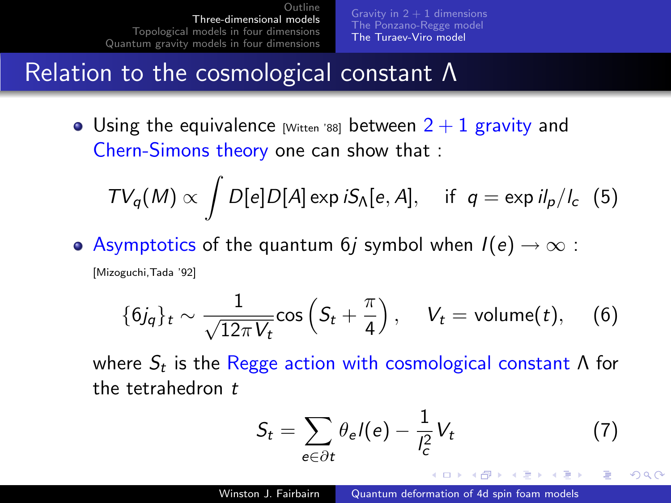Gravity in  $2 + 1$  dimensions [The Ponzano-Regge model](#page-4-0) [The Turaev-Viro model](#page-5-0)

#### Relation to the cosmological constant Λ

• Using the equivalence [Witten '88] between  $2 + 1$  gravity and Chern-Simons theory one can show that :

$$
TV_q(M) \propto \int D[e] D[A] \exp iS_\Lambda[e, A], \quad \text{if } q = \exp iI_p/I_c \quad (5)
$$

• Asymptotics of the quantum 6*j* symbol when  $I(e) \rightarrow \infty$ : [Mizoguchi,Tada '92]

$$
\{6j_q\}_t \sim \frac{1}{\sqrt{12\pi V_t}} \cos\left(S_t + \frac{\pi}{4}\right), \quad V_t = \text{volume}(t), \quad (6)
$$

where  $S_t$  is the Regge action with cosmological constant  $\Lambda$  for the tetrahedron  $t$ 

$$
S_t = \sum_{e \in \partial t} \theta_e l(e) - \frac{1}{l_c^2} V_t \tag{7}
$$

**A A REAL A REA**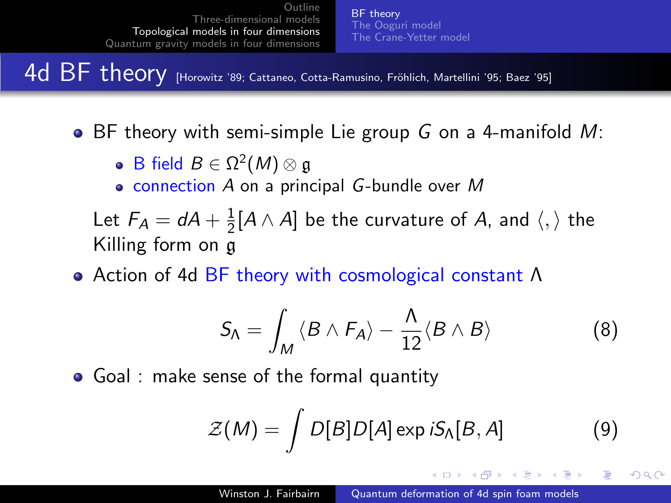[BF theory](#page-7-0) [The Ooguri model](#page-8-0) [The Crane-Yetter model](#page-9-0)

4d BF theory [Horowitz '89; Cattaneo, Cotta-Ramusino, Fröhlich, Martellini '95; Baez '95]

 $\bullet$  BF theory with semi-simple Lie group G on a 4-manifold M:

- B field  $B \in \Omega^2(M) \otimes \mathfrak{g}$
- $\bullet$  connection A on a principal G-bundle over M

Let  $F_A = dA + \frac{1}{2}$  $\frac{1}{2}[A\wedge A]$  be the curvature of  $A$ , and  $\langle,\rangle$  the Killing form on g

Action of 4d BF theory with cosmological constant Λ

$$
S_{\Lambda} = \int_{M} \langle B \wedge F_{A} \rangle - \frac{\Lambda}{12} \langle B \wedge B \rangle \tag{8}
$$

Goal : make sense of the formal quantity

$$
\mathcal{Z}(M) = \int D[B]D[A] \exp iS_{\Lambda}[B, A] \tag{9}
$$

∢ロト ∢母ト ∢ヨト ∢ヨト

<span id="page-7-0"></span> $\Omega$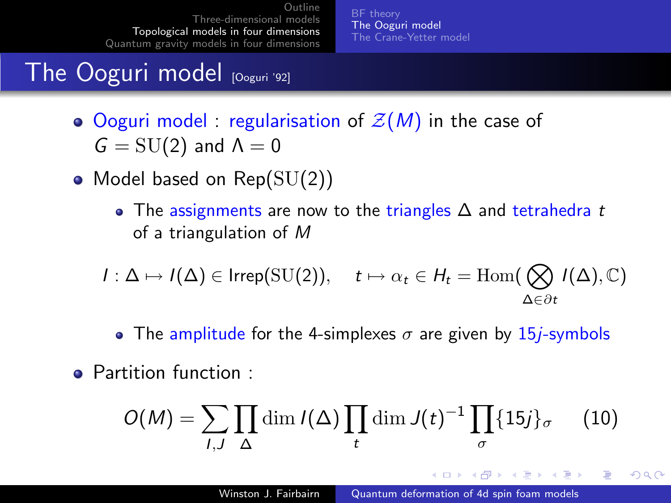[BF theory](#page-7-0) [The Ooguri model](#page-8-0) [The Crane-Yetter model](#page-9-0)

#### The Ooguri model  $[O(1)]$

- Ooguri model : regularisation of  $\mathcal{Z}(M)$  in the case of  $G = SU(2)$  and  $\Lambda = 0$
- Model based on  $Rep(SU(2))$ 
	- The assignments are now to the triangles  $\Delta$  and tetrahedra t of a triangulation of M

$$
I: \Delta \mapsto I(\Delta) \in \operatorname{Irrep}(\operatorname{SU}(2)), \quad t \mapsto \alpha_t \in H_t = \operatorname{Hom}(\bigotimes_{\Delta \in \partial t} I(\Delta), \mathbb{C})
$$

- The amplitude for the 4-simplexes  $\sigma$  are given by 15*j*-symbols
- Partition function :

$$
O(M) = \sum_{l,J} \prod_{\Delta} \dim l(\Delta) \prod_t \dim J(t)^{-1} \prod_{\sigma} \{15j\}_{\sigma} \qquad (10)
$$

<span id="page-8-0"></span> $A \oplus A \times A \oplus A \times A \oplus A$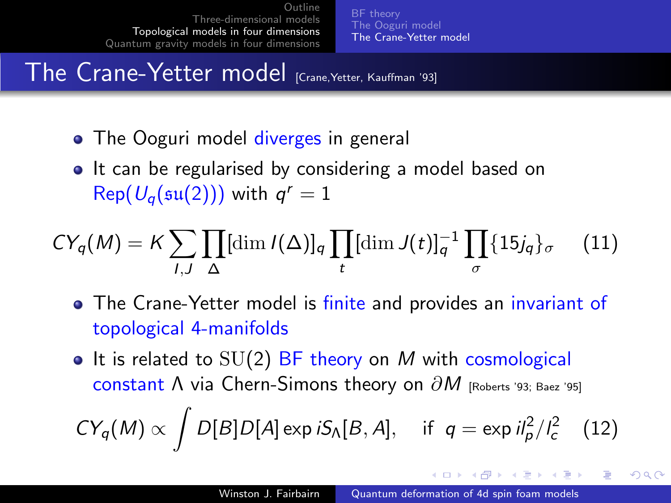[BF theory](#page-7-0) [The Ooguri model](#page-8-0) [The Crane-Yetter model](#page-9-0)

The Crane-Yetter model [Crane,Yetter, Kauffman '93]

- The Ooguri model diverges in general
- It can be regularised by considering a model based on  $\mathsf{Rep}(\mathcal{U}_q(\mathfrak{su}(2)))$  with  $q^r=1$

$$
CY_q(M) = K \sum_{l,J} \prod_{\Delta} [\dim l(\Delta)]_q \prod_t [\dim J(t)]_q^{-1} \prod_{\sigma} \{15j_q\}_{\sigma} \qquad (11)
$$

- The Crane-Yetter model is finite and provides an invariant of topological 4-manifolds
- It is related to  $SU(2)$  BF theory on M with cosmological constant  $\Lambda$  via Chern-Simons theory on  $\partial M$  [Roberts '93; Baez '95]  $CY_q(M) \propto \int D[B] D[A] \exp iS_\Lambda[B,A], \text{ if } q = \exp i l_p^2/l_c^2 \quad (12)$

<span id="page-9-0"></span>∢ ロ ▶ ( 何 ) ( ( 手 ) ( 手 ) ( )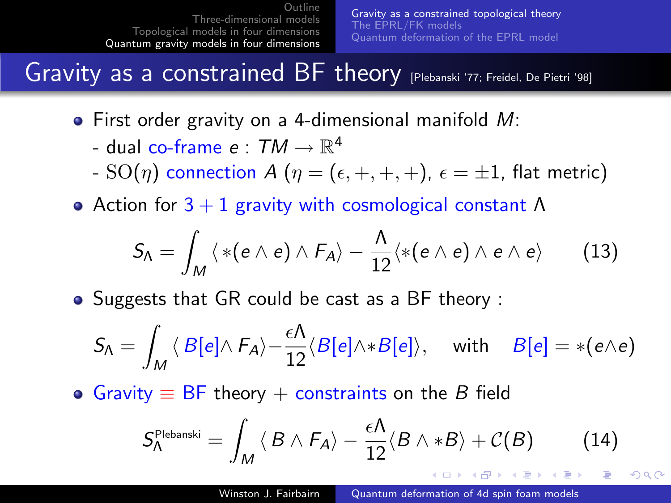[Gravity as a constrained topological theory](#page-10-0) [The EPRL/FK models](#page-11-0) [Quantum deformation of the EPRL model](#page-12-0)

Gravity as a constrained BF theory [Plebanski '77; Freidel, De Pietri '98]

- First order gravity on a 4-dimensional manifold M:
	- dual co-frame  $e : \mathcal{T} M \rightarrow \mathbb{R}^4$
	- SO(η) connection A ( $\eta = (\epsilon, +, +, +)$ ,  $\epsilon = \pm 1$ , flat metric)
- Action for  $3 + 1$  gravity with cosmological constant  $\Lambda$

$$
S_{\Lambda} = \int_{M} \langle * (e \wedge e) \wedge F_{A} \rangle - \frac{\Lambda}{12} \langle * (e \wedge e) \wedge e \wedge e \rangle \qquad (13)
$$

• Suggests that GR could be cast as a BF theory :

$$
S_{\Lambda} = \int_{M} \langle B[e] \wedge F_{A} \rangle - \frac{\epsilon \Lambda}{12} \langle B[e] \wedge *B[e] \rangle, \quad \text{ with } \quad B[e] = * (e \wedge e)
$$

• Gravity  $\equiv$  BF theory + constraints on the B field

<span id="page-10-0"></span>
$$
S_{\Lambda}^{\text{Plebanski}} = \int_{M} \langle B \wedge F_{A} \rangle - \frac{\epsilon \Lambda}{12} \langle B \wedge *B \rangle + \mathcal{C}(B) \qquad (14)
$$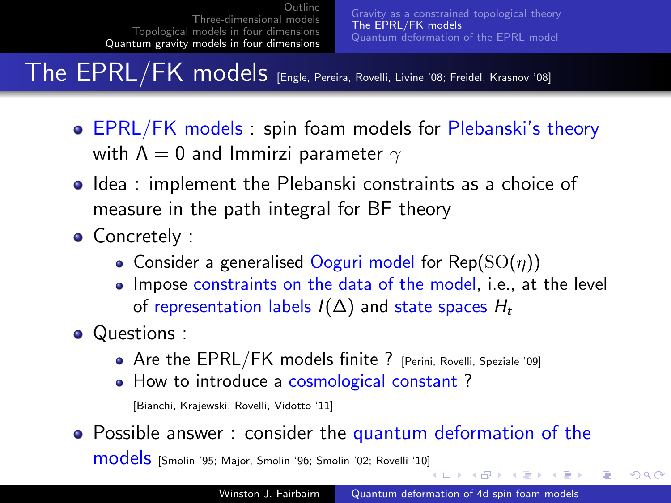The EPRL/FK models [Engle, Pereira, Rovelli, Livine '08; Freidel, Krasnov '08]

- EPRL/FK models : spin foam models for Plebanski's theory with  $\Lambda = 0$  and Immirzi parameter  $\gamma$
- **Idea : implement the Plebanski constraints as a choice of** measure in the path integral for BF theory
- Concretely :
	- Consider a generalised Ooguri model for  $\text{Rep}(SO(n))$
	- Impose constraints on the data of the model, i.e., at the level of representation labels  $I(\Delta)$  and state spaces  $H_t$
- Questions :
	- Are the EPRL/FK models finite ? [Perini, Rovelli, Speziale '09]
	- How to introduce a cosmological constant?

[Bianchi, Krajewski, Rovelli, Vidotto '11]

• Possible answer : consider the quantum deformation of the models [Smolin '95; Major, Smolin '96; Smolin '02; Rovelli '10[\]](#page-10-0)

<span id="page-11-0"></span>∢ロト ∢母ト ∢きト ∢きト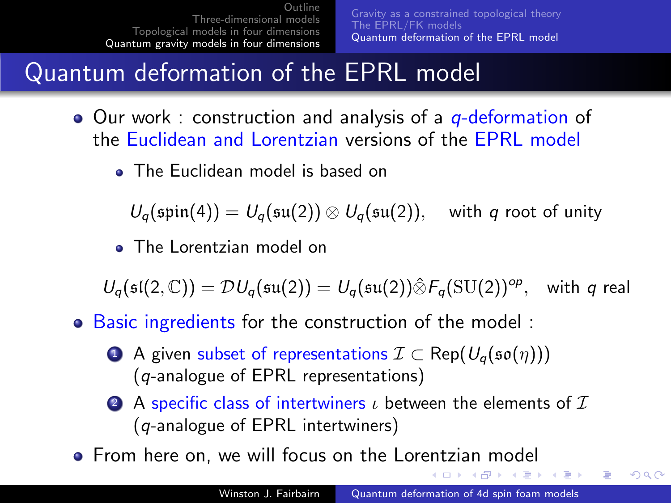[Gravity as a constrained topological theory](#page-10-0) [The EPRL/FK models](#page-11-0) [Quantum deformation of the EPRL model](#page-12-0)

#### Quantum deformation of the EPRL model

- Our work : construction and analysis of a *q*-deformation of the Euclidean and Lorentzian versions of the EPRL model
	- The Euclidean model is based on

 $U_q(\text{spin}(4)) = U_q(\text{su}(2)) \otimes U_q(\text{su}(2)),$  with q root of unity

• The Lorentzian model on

 $U_q(\mathfrak{sl}(2,\mathbb{C}))=\mathcal{D}U_q(\mathfrak{su}(2))=\mathcal{U}_q(\mathfrak{su}(2))\hat{\otimes}F_q(\mathrm{SU}(2))^{\text{op}},\quad \text{with $q$ real}$ 

- Basic ingredients for the construction of the model :
	- **■** A given subset of representations  $\mathcal{I} \subset \text{Rep}(U_{q}(\mathfrak{so}(\eta)))$ (q-analogue of EPRL representations)
	- 2 A specific class of intertwiners  $\iota$  between the elements of  $\mathcal I$ (q-analogue of EPRL intertwiners)
- **•** From here on, we will focus on the Lorentzian model

イロト イ母 トイヨ トイヨ トー

重

<span id="page-12-0"></span> $\Omega$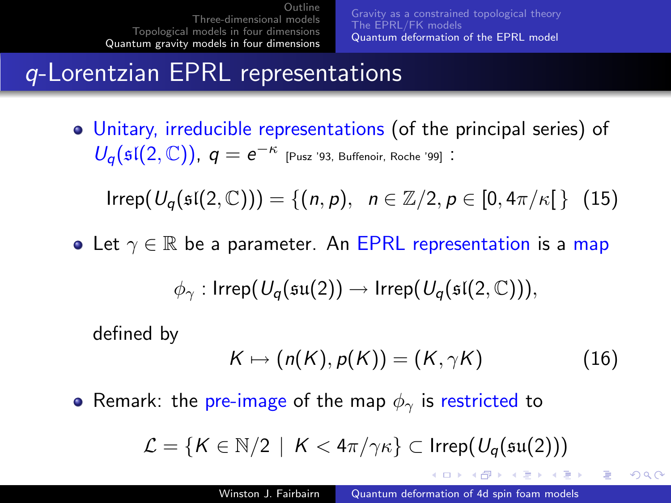[Gravity as a constrained topological theory](#page-10-0) [The EPRL/FK models](#page-11-0) [Quantum deformation of the EPRL model](#page-12-0)

#### q-Lorentzian EPRL representations

Unitary, irreducible representations (of the principal series) of  $U_q(\mathfrak{sl}(2,\mathbb{C}))$ ,  $q=e^{-\kappa}$  [Pusz '93, Buffenoir, Roche '99]:

 $Irrep(U_{\alpha}(\mathfrak{sl}(2,\mathbb{C}))) = \{(n, p), n \in \mathbb{Z}/2, p \in [0, 4\pi/\kappa[ \} (15)$ 

• Let  $\gamma \in \mathbb{R}$  be a parameter. An EPRL representation is a map

$$
\phi_{\gamma} : \mathsf{Irrep}(\mathit{U_q}(\mathfrak{su}(2)) \rightarrow \mathsf{Irrep}(\mathit{U_q}(\mathfrak{sl}(2,\mathbb{C}))),
$$

defined by

$$
K \mapsto (n(K), p(K)) = (K, \gamma K) \tag{16}
$$

イロメ イタメ イモメ イモメー

 $209$ 

• Remark: the pre-image of the map  $\phi_{\gamma}$  is restricted to

$$
\mathcal{L} = \{ K \in \mathbb{N}/2 \mid K < 4\pi/\gamma \kappa \} \subset \mathsf{Irrep}(U_q(\mathfrak{su}(2)))
$$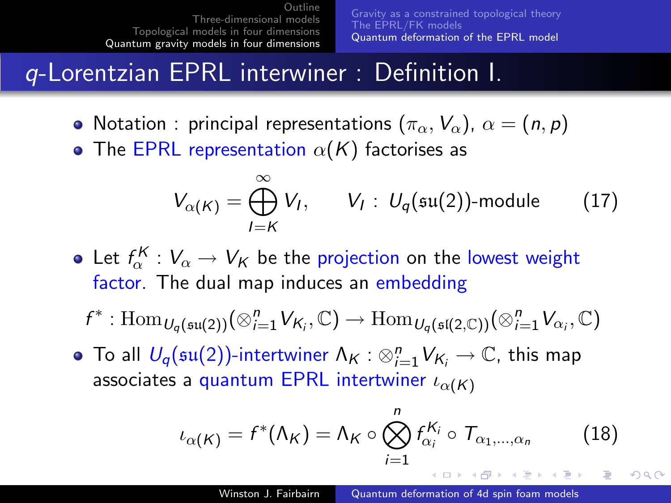[Gravity as a constrained topological theory](#page-10-0) [The EPRL/FK models](#page-11-0) [Quantum deformation of the EPRL model](#page-12-0)

#### q-Lorentzian EPRL interwiner : Definition I.

- Notation : principal representations  $(\pi_{\alpha}, V_{\alpha})$ ,  $\alpha = (n, p)$
- The EPRL representation  $\alpha(K)$  factorises as

$$
V_{\alpha(K)} = \bigoplus_{l=K}^{\infty} V_l, \qquad V_l: U_q(\mathfrak{su}(2))\text{-module} \qquad (17)
$$

- Let  $f_\alpha^K : V_\alpha \to V_\mathcal{K}$  be the projection on the lowest weight factor. The dual map induces an embedding
	- $f^*: \text{Hom}_{U_q(\mathfrak{su}(2))}(\otimes_{i=1}^n V_{\mathsf{K}_i}, \mathbb{C}) \to \text{Hom}_{U_q(\mathfrak{sl}(2,\mathbb{C}))}(\otimes_{i=1}^n V_{\alpha_i}, \mathbb{C})$
- To all  $U_q(\mathfrak{su}(2))$ -intertwiner  $\Lambda_{\mathcal{K}}: \otimes_{i=1}^n V_{\mathcal{K}_i} \rightarrow \mathbb{C}$ , this map associates a quantum EPRL intertwiner  $\iota_{\alpha(K)}$

$$
\iota_{\alpha(K)} = f^*(\Lambda_K) = \Lambda_K \circ \bigotimes_{i=1}^n f_{\alpha_i}^{K_i} \circ \mathcal{T}_{\alpha_1,\dots,\alpha_n}
$$
 (18)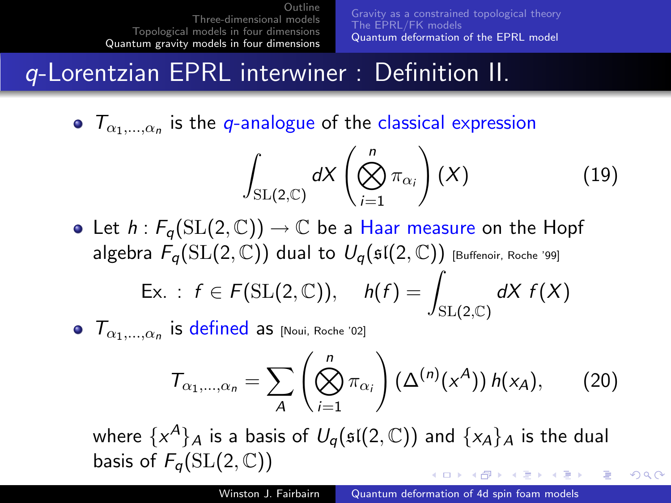[Gravity as a constrained topological theory](#page-10-0) [The EPRL/FK models](#page-11-0) [Quantum deformation of the EPRL model](#page-12-0)

#### q-Lorentzian EPRL interwiner : Definition II.

 $T_{\alpha_1,\dots,\alpha_n}$  is the q-analogue of the classical expression

$$
\int_{\mathrm{SL}(2,\mathbb{C})} dX \left(\bigotimes_{i=1}^n \pi_{\alpha_i}\right)(X) \tag{19}
$$

- Let  $h: F_{q}(\mathrm{SL}(2,\mathbb{C})) \to \mathbb{C}$  be a Haar measure on the Hopf algebra  $F_{\alpha}(\mathrm{SL}(2,\mathbb{C}))$  dual to  $U_{\alpha}(\mathfrak{sl}(2,\mathbb{C}))$  [Buffenoir, Roche '99] Ex. :  $f \in F(SL(2, \mathbb{C}))$ ,  $h(f) = \int$  $SL(2,\mathbb{C})$  $dX f(X)$
- $\mathcal{T}_{\alpha_1,\ldots,\alpha_n}$  is defined as [Noui, Roche '02]

$$
T_{\alpha_1,\ldots,\alpha_n} = \sum_{A} \left( \bigotimes_{i=1}^n \pi_{\alpha_i} \right) \left( \Delta^{(n)}(x^A) \right) h(x_A), \qquad (20)
$$

where  $\{ {\sf x}^{\boldsymbol A}\}_{{\boldsymbol A}}$  is a basis of  $\mathit{U}_q(\mathfrak{sl}(2,\mathbb{C}))$  and  $\{ {\sf x}_{\boldsymbol A}\}_{{\boldsymbol A}}$  is the dual basis of  $F_{q}(\text{SL}(2,\mathbb{C}))$ *A FOR A FOR A FOR* 

つへへ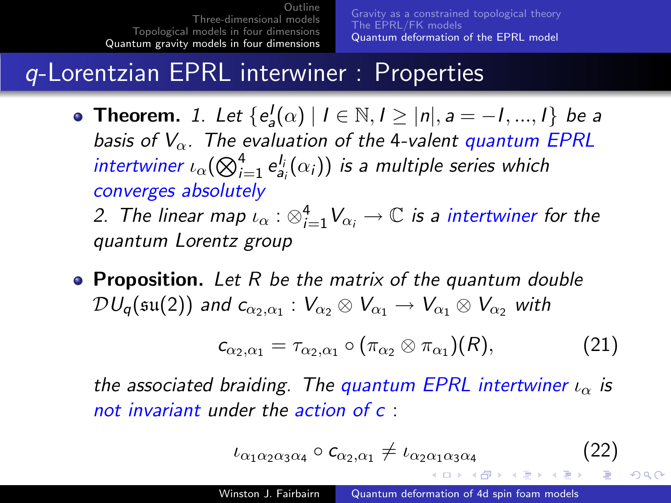[Gravity as a constrained topological theory](#page-10-0) [The EPRL/FK models](#page-11-0) [Quantum deformation of the EPRL model](#page-12-0)

#### q-Lorentzian EPRL interwiner : Properties

- **Theorem.** 1. Let  $\{e_a^l(\alpha) | l \in \mathbb{N}, l \geq |n|, a = -1, ..., l\}$  be a basis of  $V_{\alpha}$ . The evaluation of the 4-valent quantum EPRL intertwiner  $\iota_\alpha(\bigotimes_{i=1}^4 \mathsf{e}^{l_i}_{\mathsf{a}_i}(\alpha_i))$  is a multiple series which converges absolutely 2. The linear map  $\iota_\alpha: \otimes_{i=1}^4 V_{\alpha_i} \to \mathbb{C}$  is a intertwiner for the quantum Lorentz group
- **Proposition.** Let  $R$  be the matrix of the quantum double  $\mathcal{D} U_q(\mathfrak{su}(2))$  and  $c_{\alpha_2,\alpha_1}: V_{\alpha_2} \otimes V_{\alpha_1} \to V_{\alpha_1} \otimes V_{\alpha_2}$  with

$$
c_{\alpha_2,\alpha_1} = \tau_{\alpha_2,\alpha_1} \circ (\pi_{\alpha_2} \otimes \pi_{\alpha_1})(R), \qquad (21)
$$

the associated braiding. The quantum EPRL intertwiner  $\iota_{\alpha}$  is not invariant under the action of c :

$$
\iota_{\alpha_1\alpha_2\alpha_3\alpha_4} \circ c_{\alpha_2,\alpha_1} \neq \iota_{\alpha_2\alpha_1\alpha_3\alpha_4} \tag{22}
$$

イロト イタト イモト イモト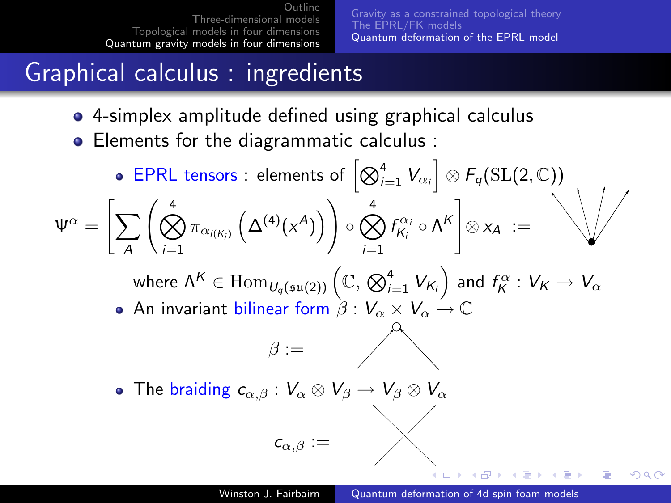[Gravity as a constrained topological theory](#page-10-0) [The EPRL/FK models](#page-11-0) [Quantum deformation of the EPRL model](#page-12-0)

# Graphical calculus : ingredients

- 4-simplex amplitude defined using graphical calculus
- Elements for the diagrammatic calculus :

EPRL tensors : elements of  $\left[\bigotimes_{i=1}^4 V_{\alpha_i}\right] \otimes F_q(\mathrm{SL}(2,\mathbb{C}))$  $\Psi^\alpha = \bigg[\sum\limits_{i=1}^N \bigg]$ A  $\int_{\infty}^{4}$  $\bigotimes_{i=1}^4 \pi_{\alpha_{i(K_i)}}\left(\Delta^{(4)}(\mathsf{x}^A)\right) \Bigg)$  $\circ$   $\stackrel{\text{\tiny 4}}{\bigotimes}$  $i=1$  $f_{K_i}^{\alpha_i} \circ \Lambda^K$  $\otimes x_A :=$ where  $\Lambda^K\in\mathrm{Hom}_{U_q(\mathfrak{su}(2))}\left(\mathbb{C},\bigotimes_{i=1}^4 V_{\mathcal{K}_i}\right)$  and  $f_{\mathcal{K}}^\alpha:V_{\mathcal{K}}\to V_\alpha$ • An invariant bilinear form  $\beta: V_{\alpha} \times V_{\alpha} \to \mathbb{C}$  $\beta :=$ • The braiding  $c_{\alpha,\beta}: V_{\alpha} \otimes V_{\beta} \to V_{\beta} \otimes V_{\alpha}$  $c_{\alpha,\beta} :=$ 

つくへ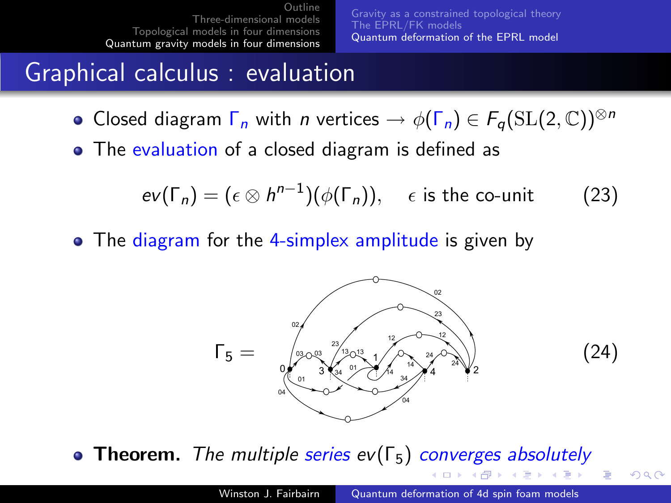[Gravity as a constrained topological theory](#page-10-0) [The EPRL/FK models](#page-11-0) [Quantum deformation of the EPRL model](#page-12-0)

(24)

つへへ

 $\Box$   $\rightarrow$   $\land$   $\Box$   $\rightarrow$   $\land$   $\Box$   $\rightarrow$ 

#### Graphical calculus : evaluation

- Closed diagram  $\Gamma_n$  with *n* vertices  $\rightarrow \phi(\Gamma_n) \in F_\sigma(\mathrm{SL}(2,\mathbb{C}))^{\otimes n}$
- The evaluation of a closed diagram is defined as

$$
ev(\Gamma_n) = (\epsilon \otimes h^{n-1})(\phi(\Gamma_n)), \quad \epsilon \text{ is the co-unit} \tag{23}
$$

• The diagram for the 4-simplex amplitude is given by



• Theorem. The multiple series  $ev(\Gamma_5)$  converges absolutely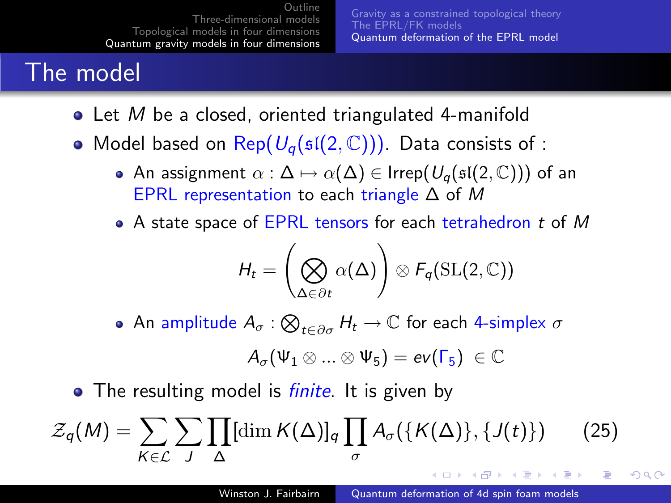[Gravity as a constrained topological theory](#page-10-0) [The EPRL/FK models](#page-11-0) [Quantum deformation of the EPRL model](#page-12-0)

# The model

- $\bullet$  Let M be a closed, oriented triangulated 4-manifold
- Model based on Rep( $U_{q}(\mathfrak{sl}(2,\mathbb{C}))$ ). Data consists of :
	- An assignment  $\alpha : \Delta \mapsto \alpha(\Delta) \in \mathsf{Irrep}(U_\alpha(\mathfrak{sl}(2,\mathbb C)))$  of an EPRL representation to each triangle  $\Delta$  of M
	- A state space of EPRL tensors for each tetrahedron t of M

$$
H_t = \left(\bigotimes_{\Delta \in \partial t} \alpha(\Delta)\right) \otimes F_q(\mathrm{SL}(2,\mathbb{C}))
$$

An amplitude  $A_\sigma : \bigotimes_{t \in \partial \sigma} H_t \to \mathbb{C}$  for each 4-simplex  $\sigma$ 

$$
\mathit{A}_{\sigma}(\Psi_1\otimes...\otimes\Psi_5)=ev(\Gamma_5)\ \in \mathbb{C}
$$

• The resulting model is *finite*. It is given by

$$
\mathcal{Z}_q(M) = \sum_{K \in \mathcal{L}} \sum_{J} \prod_{\Delta} [\dim K(\Delta)]_q \prod_{\sigma} A_{\sigma}(\{K(\Delta)\}, \{J(t)\}) \qquad (25)
$$

- ④ 伊 ▶ ④ ヨ ▶ ④ ヨ ▶